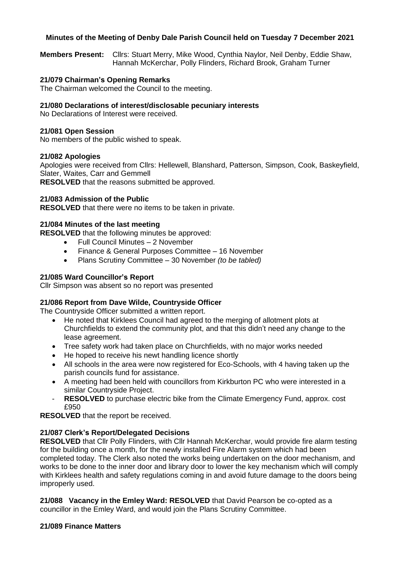## **Minutes of the Meeting of Denby Dale Parish Council held on Tuesday 7 December 2021**

**Members Present:** Cllrs: Stuart Merry, Mike Wood, Cynthia Naylor, Neil Denby, Eddie Shaw, Hannah McKerchar, Polly Flinders, Richard Brook, Graham Turner

## **21/079 Chairman's Opening Remarks**

The Chairman welcomed the Council to the meeting.

### **21/080 Declarations of interest/disclosable pecuniary interests**

No Declarations of Interest were received.

### **21/081 Open Session**

No members of the public wished to speak.

### **21/082 Apologies**

Apologies were received from Cllrs: Hellewell, Blanshard, Patterson, Simpson, Cook, Baskeyfield, Slater, Waites, Carr and Gemmell

**RESOLVED** that the reasons submitted be approved.

### **21/083 Admission of the Public**

**RESOLVED** that there were no items to be taken in private.

## **21/084 Minutes of the last meeting**

**RESOLVED** that the following minutes be approved:

- Full Council Minutes 2 November
- Finance & General Purposes Committee 16 November
- Plans Scrutiny Committee 30 November *(to be tabled)*

### **21/085 Ward Councillor's Report**

Cllr Simpson was absent so no report was presented

## **21/086 Report from Dave Wilde, Countryside Officer**

The Countryside Officer submitted a written report.

- He noted that Kirklees Council had agreed to the merging of allotment plots at Churchfields to extend the community plot, and that this didn't need any change to the lease agreement.
- Tree safety work had taken place on Churchfields, with no major works needed
- He hoped to receive his newt handling licence shortly
- All schools in the area were now registered for Eco-Schools, with 4 having taken up the parish councils fund for assistance.
- A meeting had been held with councillors from Kirkburton PC who were interested in a similar Countryside Project.
- **RESOLVED** to purchase electric bike from the Climate Emergency Fund, approx. cost £950

**RESOLVED** that the report be received.

## **21/087 Clerk's Report/Delegated Decisions**

**RESOLVED** that Cllr Polly Flinders, with Cllr Hannah McKerchar, would provide fire alarm testing for the building once a month, for the newly installed Fire Alarm system which had been completed today. The Clerk also noted the works being undertaken on the door mechanism, and works to be done to the inner door and library door to lower the key mechanism which will comply with Kirklees health and safety regulations coming in and avoid future damage to the doors being improperly used.

**21/088 Vacancy in the Emley Ward: RESOLVED** that David Pearson be co-opted as a councillor in the Emley Ward, and would join the Plans Scrutiny Committee.

#### **21/089 Finance Matters**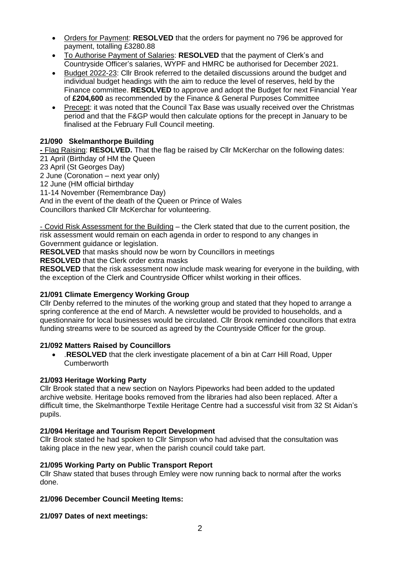- Orders for Payment: **RESOLVED** that the orders for payment no 796 be approved for payment, totalling £3280.88
- To Authorise Payment of Salaries: **RESOLVED** that the payment of Clerk's and Countryside Officer's salaries, WYPF and HMRC be authorised for December 2021.
- Budget 2022-23: Cllr Brook referred to the detailed discussions around the budget and individual budget headings with the aim to reduce the level of reserves, held by the Finance committee. **RESOLVED** to approve and adopt the Budget for next Financial Year of **£204,600** as recommended by the Finance & General Purposes Committee
- Precept: it was noted that the Council Tax Base was usually received over the Christmas period and that the F&GP would then calculate options for the precept in January to be finalised at the February Full Council meeting.

# **21/090 Skelmanthorpe Building**

**-** Flag Raising: **RESOLVED.** That the flag be raised by Cllr McKerchar on the following dates: 21 April (Birthday of HM the Queen

23 April (St Georges Day)

2 June (Coronation – next year only)

12 June (HM official birthday

11-14 November (Remembrance Day)

And in the event of the death of the Queen or Prince of Wales

Councillors thanked Cllr McKerchar for volunteering.

- Covid Risk Assessment for the Building – the Clerk stated that due to the current position, the risk assessment would remain on each agenda in order to respond to any changes in Government guidance or legislation.

**RESOLVED** that masks should now be worn by Councillors in meetings

**RESOLVED** that the Clerk order extra masks

**RESOLVED** that the risk assessment now include mask wearing for everyone in the building, with the exception of the Clerk and Countryside Officer whilst working in their offices.

# **21/091 Climate Emergency Working Group**

Cllr Denby referred to the minutes of the working group and stated that they hoped to arrange a spring conference at the end of March. A newsletter would be provided to households, and a questionnaire for local businesses would be circulated. Cllr Brook reminded councillors that extra funding streams were to be sourced as agreed by the Countryside Officer for the group.

# **21/092 Matters Raised by Councillors**

• .**RESOLVED** that the clerk investigate placement of a bin at Carr Hill Road, Upper **Cumberworth** 

# **21/093 Heritage Working Party**

Cllr Brook stated that a new section on Naylors Pipeworks had been added to the updated archive website. Heritage books removed from the libraries had also been replaced. After a difficult time, the Skelmanthorpe Textile Heritage Centre had a successful visit from 32 St Aidan's pupils.

# **21/094 Heritage and Tourism Report Development**

Cllr Brook stated he had spoken to Cllr Simpson who had advised that the consultation was taking place in the new year, when the parish council could take part.

# **21/095 Working Party on Public Transport Report**

Cllr Shaw stated that buses through Emley were now running back to normal after the works done.

# **21/096 December Council Meeting Items:**

# **21/097 Dates of next meetings:**